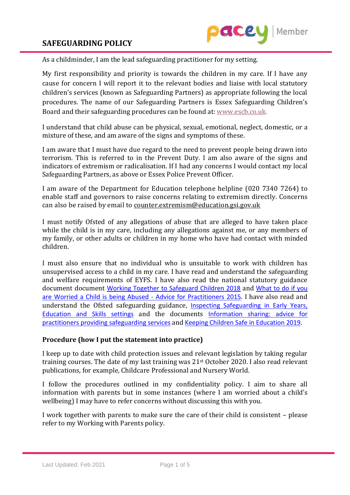

As a childminder, I am the lead safeguarding practitioner for my setting.

My first responsibility and priority is towards the children in my care. If I have any cause for concern I will report it to the relevant bodies and liaise with local statutory children's services (known as Safeguarding Partners) as appropriate following the local procedures. The name of our Safeguarding Partners is Essex Safeguarding Children's Board and their safeguarding procedures can be found at: [www.escb.co.uk.](http://www.escb.co.uk/)

I understand that child abuse can be physical, sexual, emotional, neglect, domestic, or a mixture of these, and am aware of the signs and symptoms of these.

I am aware that I must have due regard to the need to prevent people being drawn into terrorism. This is referred to in the Prevent Duty. I am also aware of the signs and indicators of extremism or radicalisation. If I had any concerns I would contact my local Safeguarding Partners, as above or Essex Police Prevent Officer.

I am aware of the Department for Education telephone helpline (020 7340 7264) to enable staff and governors to raise concerns relating to extremism directly. Concerns can also be raised by email to [counter.extremism@education.gsi.gov.uk](mailto:counter.extremism@education.gsi.gov.uk)

I must notify Ofsted of any allegations of abuse that are alleged to have taken place while the child is in my care, including any allegations against me, or any members of my family, or other adults or children in my home who have had contact with minded children.

I must also ensure that no individual who is unsuitable to work with children has unsupervised access to a child in my care. I have read and understand the safeguarding and welfare requirements of EYFS. I have also read the national statutory guidance document document [Working Together to Safeguard Children 2018](https://www.gov.uk/government/publications/working-together-to-safeguard-children--2) and [What to do if you](https://www.gov.uk/government/publications/what-to-do-if-youre-worried-a-child-is-being-abused--2)  [are Worried a Child is being Abused -](https://www.gov.uk/government/publications/what-to-do-if-youre-worried-a-child-is-being-abused--2) Advice for Practitioners 2015. I have also read and understand the Ofsted safeguarding guidance, [Inspecting Safeguarding in Early Years,](https://www.gov.uk/government/publications/inspecting-safeguarding-in-early-years-education-and-skills)  [Education and Skills settings](https://www.gov.uk/government/publications/inspecting-safeguarding-in-early-years-education-and-skills) and the documents [Information sharing: advice for](https://assets.publishing.service.gov.uk/government/uploads/system/uploads/attachment_data/file/721581/Information_sharing_advice_practitioners_safeguarding_services.pdf)  [practitioners providing safeguarding services](https://assets.publishing.service.gov.uk/government/uploads/system/uploads/attachment_data/file/721581/Information_sharing_advice_practitioners_safeguarding_services.pdf) and [Keeping Children Safe in Education 2019](https://www.gov.uk/government/publications/keeping-children-safe-in-education--2).

### **Procedure (how I put the statement into practice)**

I keep up to date with child protection issues and relevant legislation by taking regular training courses. The date of my last training was 21st October 2020. I also read relevant publications, for example, Childcare Professional and Nursery World.

I follow the procedures outlined in my confidentiality policy. I aim to share all information with parents but in some instances (where I am worried about a child's wellbeing) I may have to refer concerns without discussing this with you.

I work together with parents to make sure the care of their child is consistent – please refer to my Working with Parents policy.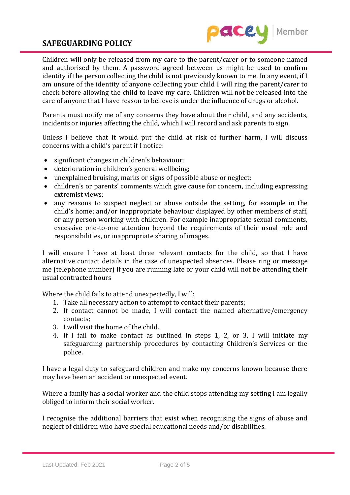## **SAFEGUARDING POLICY**



Children will only be released from my care to the parent/carer or to someone named and authorised by them. A password agreed between us might be used to confirm identity if the person collecting the child is not previously known to me. In any event, if I am unsure of the identity of anyone collecting your child I will ring the parent/carer to check before allowing the child to leave my care. Children will not be released into the care of anyone that I have reason to believe is under the influence of drugs or alcohol.

Parents must notify me of any concerns they have about their child, and any accidents, incidents or injuries affecting the child, which I will record and ask parents to sign.

Unless I believe that it would put the child at risk of further harm, I will discuss concerns with a child's parent if I notice:

- significant changes in children's behaviour;
- deterioration in children's general wellbeing;
- unexplained bruising, marks or signs of possible abuse or neglect;
- children's or parents' comments which give cause for concern, including expressing extremist views;
- any reasons to suspect neglect or abuse outside the setting, for example in the child's home; and/or inappropriate behaviour displayed by other members of staff, or any person working with children. For example inappropriate sexual comments, excessive one-to-one attention beyond the requirements of their usual role and responsibilities, or inappropriate sharing of images.

I will ensure I have at least three relevant contacts for the child, so that I have alternative contact details in the case of unexpected absences. Please ring or message me (telephone number) if you are running late or your child will not be attending their usual contracted hours

Where the child fails to attend unexpectedly, I will:

- 1. Take all necessary action to attempt to contact their parents;
- 2. If contact cannot be made, I will contact the named alternative/emergency contacts;
- 3. I will visit the home of the child.
- 4. If I fail to make contact as outlined in steps 1, 2, or 3, I will initiate my safeguarding partnership procedures by contacting Children's Services or the police.

I have a legal duty to safeguard children and make my concerns known because there may have been an accident or unexpected event.

Where a family has a social worker and the child stops attending my setting I am legally obliged to inform their social worker.

I recognise the additional barriers that exist when recognising the signs of abuse and neglect of children who have special educational needs and/or disabilities.

Last Updated: Feb 2021 Page 2 of 5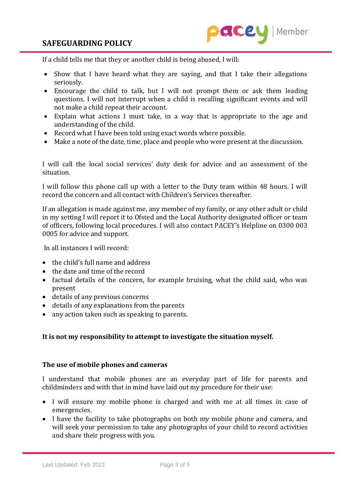

If a child tells me that they or another child is being abused, I will:

- Show that I have heard what they are saying, and that I take their allegations seriously.
- Encourage the child to talk, but I will not prompt them or ask them leading questions. I will not interrupt when a child is recalling significant events and will not make a child repeat their account.
- Explain what actions I must take, in a way that is appropriate to the age and understanding of the child.
- Record what I have been told using exact words where possible.
- Make a note of the date, time, place and people who were present at the discussion.

I will call the local social services' duty desk for advice and an assessment of the situation.

I will follow this phone call up with a letter to the Duty team within 48 hours. I will record the concern and all contact with Children's Services thereafter.

If an allegation is made against me, any member of my family, or any other adult or child in my setting I will report it to Ofsted and the Local Authority designated officer or team of officers, following local procedures. I will also contact PACEY's Helpline on 0300 003 0005 for advice and support.

In all instances I will record:

- the child's full name and address
- the date and time of the record
- factual details of the concern, for example bruising, what the child said, who was present
- details of any previous concerns
- details of any explanations from the parents
- any action taken such as speaking to parents.

#### **It is not my responsibility to attempt to investigate the situation myself.**

#### **The use of mobile phones and cameras**

I understand that mobile phones are an everyday part of life for parents and childminders and with that in mind have laid out my procedure for their use:

- I will ensure my mobile phone is charged and with me at all times in case of emergencies.
- I have the facility to take photographs on both my mobile phone and camera, and will seek your permission to take any photographs of your child to record activities and share their progress with you.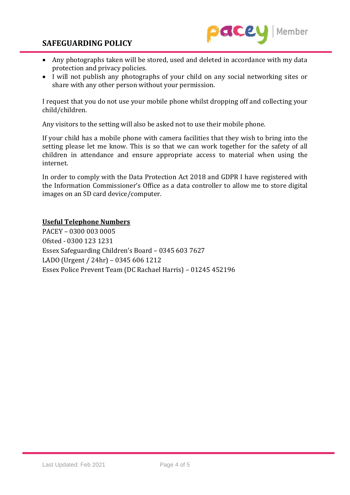## **SAFEGUARDING POLICY**



- Any photographs taken will be stored, used and deleted in accordance with my data protection and privacy policies.
- I will not publish any photographs of your child on any social networking sites or share with any other person without your permission.

I request that you do not use your mobile phone whilst dropping off and collecting your child/children.

Any visitors to the setting will also be asked not to use their mobile phone.

If your child has a mobile phone with camera facilities that they wish to bring into the setting please let me know. This is so that we can work together for the safety of all children in attendance and ensure appropriate access to material when using the internet.

In order to comply with the Data Protection Act 2018 and GDPR I have registered with the Information Commissioner's Office as a data controller to allow me to store digital images on an SD card device/computer.

### **Useful Telephone Numbers**

PACEY – 0300 003 0005 Ofsted - 0300 123 1231 Essex Safeguarding Children's Board – 0345 603 7627 LADO (Urgent / 24hr) – 0345 606 1212 Essex Police Prevent Team (DC Rachael Harris) – 01245 452196